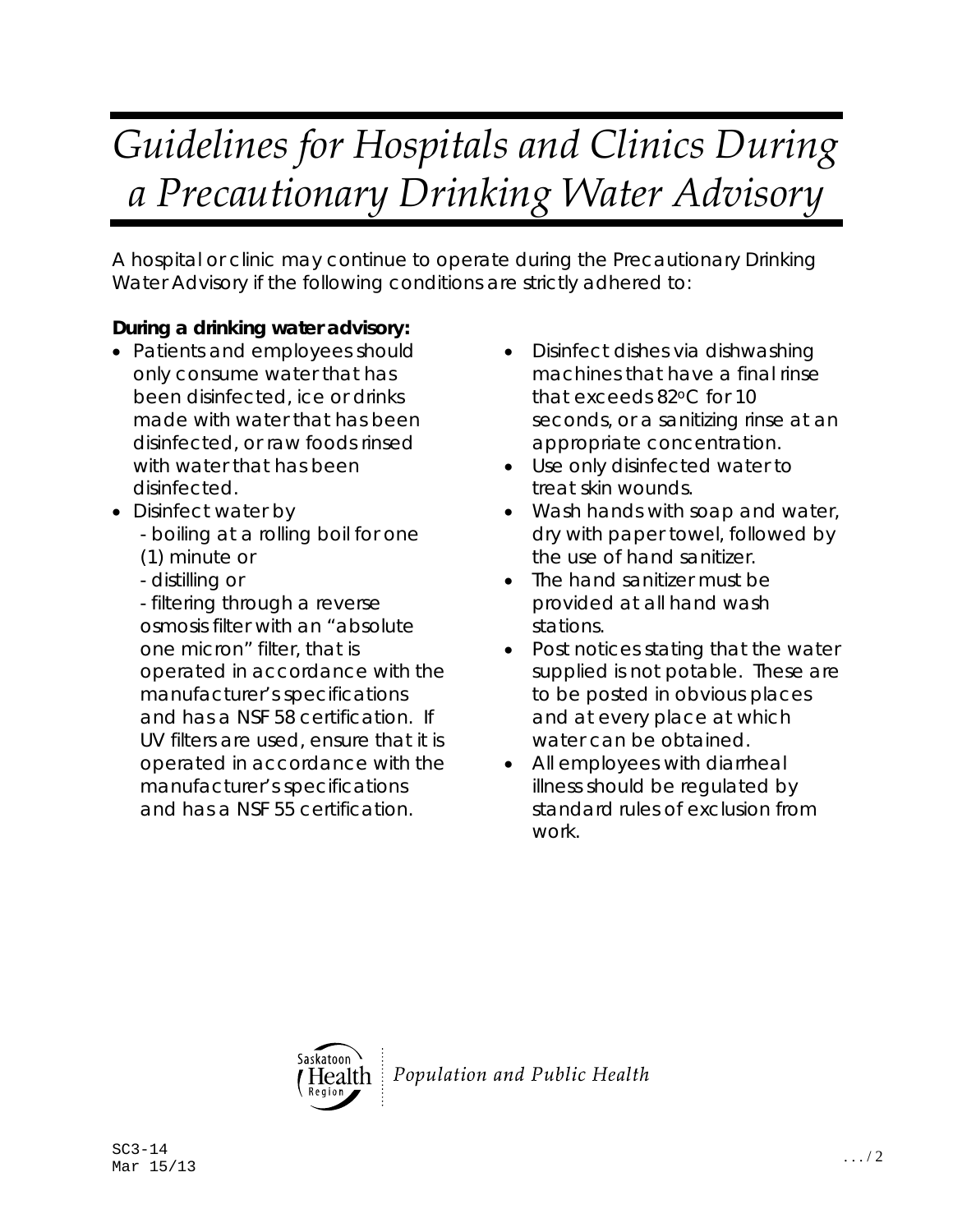## *Guidelines for Hospitals and Clinics During a Precautionary Drinking Water Advisory*

A hospital or clinic may continue to operate during the Precautionary Drinking Water Advisory if the following conditions are strictly adhered to:

## **During a drinking water advisory:**

- Patients and employees should only consume water that has been disinfected, ice or drinks made with water that has been disinfected, or raw foods rinsed with water that has been disinfected.
- Disinfect water by - boiling at a rolling boil for one (1) minute or
	- distilling or
	- filtering through a reverse osmosis filter with an "absolute one micron" filter, that is operated in accordance with the manufacturer's specifications and has a NSF 58 certification. If UV filters are used, ensure that it is operated in accordance with the manufacturer's specifications and has a NSF 55 certification.
- Disinfect dishes via dishwashing machines that have a final rinse that exceeds 82oC for 10 seconds, or a sanitizing rinse at an appropriate concentration.
- Use only disinfected water to treat skin wounds.
- Wash hands with soap and water, dry with paper towel, followed by the use of hand sanitizer.
- The hand sanitizer must be provided at all hand wash stations.
- Post notices stating that the water supplied is not potable. These are to be posted in obvious places and at every place at which water can be obtained.
- All employees with diarrheal illness should be regulated by standard rules of exclusion from work.